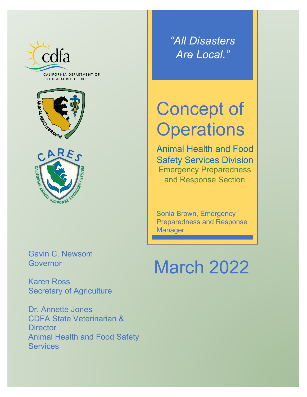

CALIFORNIA DEPARTMENT OF **FOOD & AGRICULTURE** 





*"All Disasters Are Local."*

# Concept of **Operations**

Animal Health and Food Safety Services Division Emergency Preparedness and Response Section

Sonia Brown, Emergency Preparedness and Response **Manager** 

Gavin C. Newsom **Governor** 

Karen Ross Secretary of Agriculture

Dr. Annette Jones CDFA State Veterinarian & **Director** Animal Health and Food Safety **Services** 

# March 2022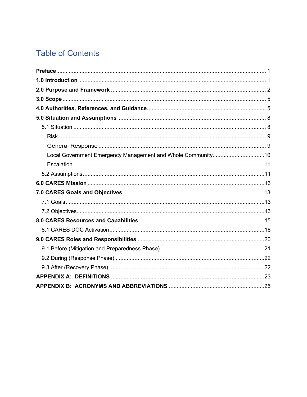# **Table of Contents**

| Local Government Emergency Management and Whole Community10 |  |
|-------------------------------------------------------------|--|
|                                                             |  |
|                                                             |  |
|                                                             |  |
|                                                             |  |
|                                                             |  |
|                                                             |  |
|                                                             |  |
|                                                             |  |
|                                                             |  |
|                                                             |  |
|                                                             |  |
|                                                             |  |
|                                                             |  |
|                                                             |  |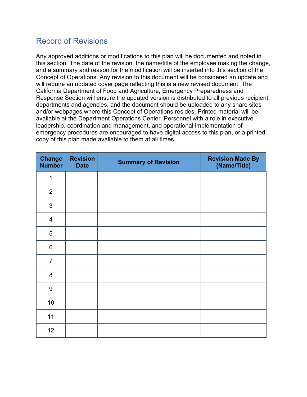## Record of Revisions

Any approved additions or modifications to this plan will be documented and noted in this section. The date of the revision, the name/title of the employee making the change, and a summary and reason for the modification will be inserted into this section of the Concept of Operations. Any revision to this document will be considered an update and will require an updated cover page reflecting this is a new revised document. The California Department of Food and Agriculture, Emergency Preparedness and Response Section will ensure the updated version is distributed to all previous recipient departments and agencies, and the document should be uploaded to any share sites and/or webpages where this Concept of Operations resides. Printed material will be available at the Department Operations Center. Personnel with a role in executive leadership, coordination and management, and operational implementation of emergency procedures are encouraged to have digital access to this plan, or a printed copy of this plan made available to them at all times.

| <b>Change</b><br><b>Number</b> | <b>Revision</b><br><b>Date</b> | <b>Summary of Revision</b> | <b>Revision Made By</b><br>(Name/Title) |
|--------------------------------|--------------------------------|----------------------------|-----------------------------------------|
| $\mathbf 1$                    |                                |                            |                                         |
| $\overline{2}$                 |                                |                            |                                         |
| 3                              |                                |                            |                                         |
| $\overline{4}$                 |                                |                            |                                         |
| 5                              |                                |                            |                                         |
| $\,6$                          |                                |                            |                                         |
| $\overline{7}$                 |                                |                            |                                         |
| $\bf 8$                        |                                |                            |                                         |
| 9                              |                                |                            |                                         |
| 10                             |                                |                            |                                         |
| 11                             |                                |                            |                                         |
| 12                             |                                |                            |                                         |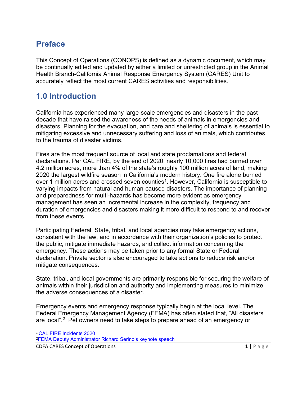# <span id="page-3-0"></span>**Preface**

This Concept of Operations (CONOPS) is defined as a dynamic document, which may be continually edited and updated by either a limited or unrestricted group in the Animal Health Branch-California Animal Response Emergency System (CARES) Unit to accurately reflect the most current CARES activities and responsibilities.

## <span id="page-3-1"></span>**1.0 Introduction**

California has experienced many large-scale emergencies and disasters in the past decade that have raised the awareness of the needs of animals in emergencies and disasters. Planning for the evacuation, and care and sheltering of animals is essential to mitigating excessive and unnecessary suffering and loss of animals, which contributes to the trauma of disaster victims.

Fires are the most frequent source of local and state proclamations and federal declarations. Per CAL FIRE, by the end of 2020, nearly 10,000 fires had burned over 4.2 million acres, more than 4% of the state's roughly 100 million acres of land, making 2020 the largest wildfire season in California's modern history. One fire alone burned over 1 million acres and crossed seven counties<sup>1</sup>. However, California is susceptible to varying impacts from natural and human-caused disasters. The importance of planning and preparedness for multi-hazards has become more evident as emergency management has seen an incremental increase in the complexity, frequency and duration of emergencies and disasters making it more difficult to respond to and recover from these events.

Participating Federal, State, tribal, and local agencies may take emergency actions, consistent with the law, and in accordance with their organization's policies to protect the public, mitigate immediate hazards, and collect information concerning the emergency. These actions may be taken prior to any formal State or Federal declaration. Private sector is also encouraged to take actions to reduce risk and/or mitigate consequences.

State, tribal, and local governments are primarily responsible for securing the welfare of animals within their jurisdiction and authority and implementing measures to minimize the adverse consequences of a disaster.

Emergency events and emergency response typically begin at the local level. The Federal Emergency Management Agency (FEMA) has often stated that, "All disasters are local".<sup>2</sup> Pet owners need to take steps to prepare ahead of an emergency or

<span id="page-3-2"></span><sup>1</sup> [CAL FIRE Incidents 2020](https://www.fire.ca.gov/incidents/2020/)

<span id="page-3-3"></span>[<sup>2</sup>FEMA Deputy Administrator Richard Serino's keynote speech](https://www.govtech.com/em/disaster/remember-all-disasters-are-local-says-fema-deputy-administrator.html)

**CDFA CARES Concept of Operations <b>1** | P a g e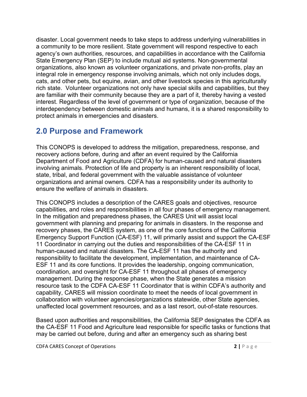disaster. Local government needs to take steps to address underlying vulnerabilities in a community to be more resilient. State government will respond respective to each agency's own authorities, resources, and capabilities in accordance with the California State Emergency Plan (SEP) to include mutual aid systems. Non-governmental organizations, also known as volunteer organizations, and private non-profits, play an integral role in emergency response involving animals, which not only includes dogs, cats, and other pets, but equine, avian, and other livestock species in this agriculturally rich state. Volunteer organizations not only have special skills and capabilities, but they are familiar with their community because they are a part of it, thereby having a vested interest. Regardless of the level of government or type of organization, because of the interdependency between domestic animals and humans, it is a shared responsibility to protect animals in emergencies and disasters.

# <span id="page-4-0"></span>**2.0 Purpose and Framework**

This CONOPS is developed to address the mitigation, preparedness, response, and recovery actions before, during and after an event required by the California Department of Food and Agriculture (CDFA) for human-caused and natural disasters involving animals. Protection of life and property is an inherent responsibility of local, state, tribal, and federal government with the valuable assistance of volunteer organizations and animal owners. CDFA has a responsibility under its authority to ensure the welfare of animals in disasters.

This CONOPS includes a description of the CARES goals and objectives, resource capabilities, and roles and responsibilities in all four phases of emergency management. In the mitigation and preparedness phases, the CARES Unit will assist local government with planning and preparing for animals in disasters. In the response and recovery phases, the CARES system, as one of the core functions of the California Emergency Support Function (CA-ESF) 11, will primarily assist and support the CA-ESF 11 Coordinator in carrying out the duties and responsibilities of the CA-ESF 11 in human-caused and natural disasters. The CA-ESF 11 has the authority and responsibility to facilitate the development, implementation, and maintenance of CA-ESF 11 and its core functions. It provides the leadership, ongoing communication, coordination, and oversight for CA-ESF 11 throughout all phases of emergency management. During the response phase, when the State generates a mission resource task to the CDFA CA-ESF 11 Coordinator that is within CDFA's authority and capability, CARES will mission coordinate to meet the needs of local government in collaboration with volunteer agencies/organizations statewide, other State agencies, unaffected local government resources, and as a last resort, out-of-state resources.

Based upon authorities and responsibilities, the California SEP designates the CDFA as the CA-ESF 11 Food and Agriculture lead responsible for specific tasks or functions that may be carried out before, during and after an emergency such as sharing best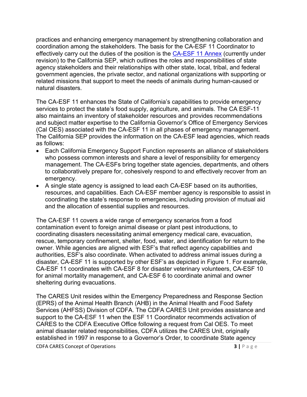practices and enhancing emergency management by strengthening collaboration and coordination among the stakeholders. The basis for the CA-ESF 11 Coordinator to effectively carry out the duties of the position is the CA-ESF [11 Annex](https://www.caloes.ca.gov/PlanningPreparednessSite/Documents/11%20Executive%20Summary%20Agriculture%20Annex.pdf) (currently under revision) to the California SEP, which outlines the roles and responsibilities of state agency stakeholders and their relationships with other state, local, tribal, and federal government agencies, the private sector, and national organizations with supporting or related missions that support to meet the needs of animals during human-caused or natural disasters.

The CA-ESF 11 enhances the State of California's capabilities to provide emergency services to protect the state's food supply, agriculture, and animals. The CA ESF-11 also maintains an inventory of stakeholder resources and provides recommendations and subject matter expertise to the California Governor's Office of Emergency Services (Cal OES) associated with the CA-ESF 11 in all phases of emergency management. The California SEP provides the information on the CA-ESF lead agencies, which reads as follows:

- Each California Emergency Support Function represents an alliance of stakeholders who possess common interests and share a level of responsibility for emergency management. The CA-ESFs bring together state agencies, departments, and others to collaboratively prepare for, cohesively respond to and effectively recover from an emergency.
- A single state agency is assigned to lead each CA-ESF based on its authorities, resources, and capabilities. Each CA-ESF member agency is responsible to assist in coordinating the state's response to emergencies, including provision of mutual aid and the allocation of essential supplies and resources.

The CA-ESF 11 covers a wide range of emergency scenarios from a food contamination event to foreign animal disease or plant pest introductions, to coordinating disasters necessitating animal emergency medical care, evacuation, rescue, temporary confinement, shelter, food, water, and identification for return to the owner. While agencies are aligned with ESF's that reflect agency capabilities and authorities, ESF's also coordinate. When activated to address animal issues during a disaster, CA-ESF 11 is supported by other ESF's as depicted in Figure 1. For example, CA-ESF 11 coordinates with CA-ESF 8 for disaster veterinary volunteers, CA-ESF 10 for animal mortality management, and CA-ESF 6 to coordinate animal and owner sheltering during evacuations.

The CARES Unit resides within the Emergency Preparedness and Response Section (EPRS) of the Animal Health Branch (AHB) in the Animal Health and Food Safety Services (AHFSS) Division of CDFA. The CDFA CARES Unit provides assistance and support to the CA-ESF 11 when the ESF 11 Coordinator recommends activation of CARES to the CDFA Executive Office following a request from Cal OES. To meet animal disaster related responsibilities, CDFA utilizes the CARES Unit, originally established in 1997 in response to a Governor's Order, to coordinate State agency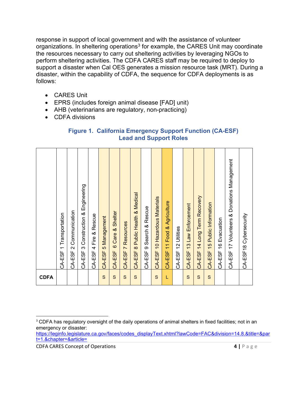response in support of local government and with the assistance of volunteer organizations. In sheltering operations<sup>[3](#page-6-0)</sup> for example, the CARES Unit may coordinate the resources necessary to carry out sheltering activities by leveraging NGOs to perform sheltering activities. The CDFA CARES staff may be required to deploy to support a disaster when Cal OES generates a mission resource task (MRT). During a disaster, within the capability of CDFA, the sequence for CDFA deployments is as follows:

- CARES Unit
- EPRS (includes foreign animal disease [FAD] unit)
- AHB (veterinarians are regulatory, non-practicing)
- CDFA divisions

| <b>Figure 1. California Emergency Support Function (CA-ESF)</b> |  |
|-----------------------------------------------------------------|--|
| <b>Lead and Support Roles</b>                                   |  |

|             | Transportation<br>$\overline{\phantom{0}}$<br>CA-ESF | Communication<br>$\mathbf{\Omega}$<br>CA-ESF | & Engineering<br>Construction<br>ო<br>CA-ESF | Rescue<br>త<br>Fire<br>4<br>CA-ESF | 5 Management<br>CA-ESF | Shelter<br>ಹ<br>Care<br>$\circ$<br>CA-ESF | Resources<br>$\overline{r}$<br>CA-ESF | <b>Public Health &amp; Medical</b><br>$\infty$<br>CA-ESF | & Rescue<br>Search<br>တ<br>CA-ESF | CA-ESF 10 Hazardous Materials | Agriculture<br>≪,<br>Food<br>$\overline{\mathcal{L}}$<br>CA-ESF | Utilities<br>$\sim$<br>$\overline{\phantom{0}}$<br>CA-ESF | Law Enforcement<br>$\frac{3}{2}$<br>CA-ESF | Recovery<br>Long Term<br>4<br>$\dotmark$<br>CA-ESF | Public Information<br>$\frac{5}{2}$<br>CA-ESF | Evacuation<br>$\frac{6}{5}$<br>CA-ESF | CA-ESF 17 Volunteers & Donations Management | CA-ESF18 Cybersecurity |
|-------------|------------------------------------------------------|----------------------------------------------|----------------------------------------------|------------------------------------|------------------------|-------------------------------------------|---------------------------------------|----------------------------------------------------------|-----------------------------------|-------------------------------|-----------------------------------------------------------------|-----------------------------------------------------------|--------------------------------------------|----------------------------------------------------|-----------------------------------------------|---------------------------------------|---------------------------------------------|------------------------|
| <b>CDFA</b> |                                                      |                                              |                                              |                                    | S                      | $\mathbf S$                               | $\mathbf S$                           | $\mathbf S$                                              |                                   | S                             | L                                                               |                                                           | S                                          | S                                                  | S                                             |                                       |                                             |                        |

[https://leginfo.legislature.ca.gov/faces/codes\\_displayText.xhtml?lawCode=FAC&division=14.8.&title=&par](https://leginfo.legislature.ca.gov/faces/codes_displayText.xhtml?lawCode=FAC&division=14.8.&title=&part=1.&chapter=&article=) [t=1.&chapter=&article=](https://leginfo.legislature.ca.gov/faces/codes_displayText.xhtml?lawCode=FAC&division=14.8.&title=&part=1.&chapter=&article=) 

**CDFA CARES Concept of Operations 4 | Page** 

<span id="page-6-0"></span><sup>&</sup>lt;sup>3</sup> CDFA has regulatory oversight of the daily operations of animal shelters in fixed facilities; not in an emergency or disaster: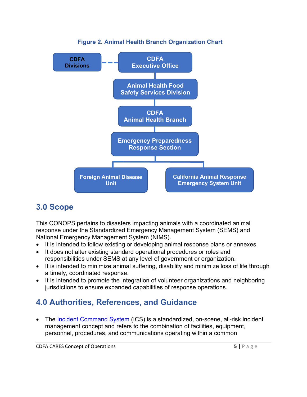

#### **Figure 2. Animal Health Branch Organization Chart**

# <span id="page-7-0"></span>**3.0 Scope**

This CONOPS pertains to disasters impacting animals with a coordinated animal response under the Standardized Emergency Management System (SEMS) and National Emergency Management System (NIMS).

- It is intended to follow existing or developing animal response plans or annexes.
- It does not alter existing standard operational procedures or roles and responsibilities under SEMS at any level of government or organization.
- It is intended to minimize animal suffering, disability and minimize loss of life through a timely, coordinated response.
- It is intended to promote the integration of volunteer organizations and neighboring jurisdictions to ensure expanded capabilities of response operations.

# <span id="page-7-1"></span>**4.0 Authorities, References, and Guidance**

• The [Incident Command System](https://training.fema.gov/emiweb/is/icsresource/assets/ics%20organizational%20structure%20and%20elements.pdf) (ICS) is a standardized, on-scene, all-risk incident management concept and refers to the combination of facilities, equipment, personnel, procedures, and communications operating within a common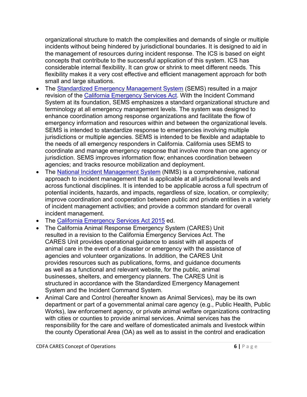organizational structure to match the complexities and demands of single or multiple incidents without being hindered by jurisdictional boundaries. It is designed to aid in the management of resources during incident response. The ICS is based on eight concepts that contribute to the successful application of this system. ICS has considerable internal flexibility. It can grow or shrink to meet different needs. This flexibility makes it a very cost effective and efficient management approach for both small and large situations.

- The [Standardized Emergency Management System](https://www.caloes.ca.gov/PlanningPreparednessSite/Documents/SEMS%20Regulations.pdf) (SEMS) resulted in a major revision of the [California Emergency Services Act.](https://www.caloes.ca.gov/LegalAffairsSite/Documents/Cal%20OES%20Yellow%20Book.pdf) With the Incident Command System at its foundation, SEMS emphasizes a standard organizational structure and terminology at all emergency management levels. The system was designed to enhance coordination among response organizations and facilitate the flow of emergency information and resources within and between the organizational levels. SEMS is intended to standardize response to emergencies involving multiple jurisdictions or multiple agencies. SEMS is intended to be flexible and adaptable to the needs of all emergency responders in California. California uses SEMS to coordinate and manage emergency response that involve more than one agency or jurisdiction. SEMS improves information flow; enhances coordination between agencies; and tracks resource mobilization and deployment.
- The [National Incident Management System](https://www.fema.gov/sites/default/files/2020-07/fema_nims_doctrine-2017.pdf) (NIMS) is a comprehensive, national approach to incident management that is applicable at all jurisdictional levels and across functional disciplines. It is intended to be applicable across a full spectrum of potential incidents, hazards, and impacts, regardless of size, location, or complexity; improve coordination and cooperation between public and private entities in a variety of incident management activities; and provide a common standard for overall incident management.
- The [California Emergency Services Act 2015](https://www.caloes.ca.gov/LegalAffairsSite/Documents/Cal%20OES%20Yellow%20Book.pdf) ed.
- The California Animal Response Emergency System (CARES) Unit resulted in a revision to the California Emergency Services Act. The CARES Unit provides operational guidance to assist with all aspects of animal care in the event of a disaster or emergency with the assistance of agencies and volunteer organizations. In addition, the CARES Unit provides resources such as publications, forms, and guidance documents as well as a functional and relevant website, for the public, animal businesses, shelters, and emergency planners. The CARES Unit is structured in accordance with the Standardized Emergency Management System and the Incident Command System.
- Animal Care and Control (hereafter known as Animal Services), may be its own department or part of a governmental animal care agency (e.g., Public Health, Public Works), law enforcement agency, or private animal welfare organizations contracting with cities or counties to provide animal services. Animal services has the responsibility for the care and welfare of domesticated animals and livestock within the county Operational Area (OA) as well as to assist in the control and eradication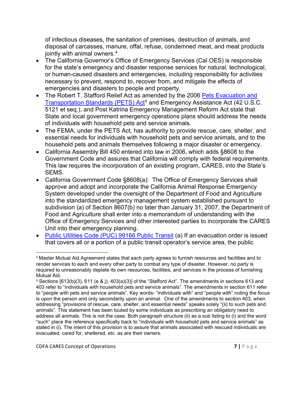of infectious diseases, the sanitation of premises, destruction of animals, and disposal of carcasses, manure, offal, refuse, condemned meat, and meat products jointly with animal owners. $^{\rm 4}$  $^{\rm 4}$  $^{\rm 4}$ 

- The California Governor's Office of Emergency Services (Cal OES) is responsible for the state's emergency and disaster response services for natural, technological, or human-caused disasters and emergencies, including responsibility for activities necessary to prevent, respond to, recover from, and mitigate the effects of emergencies and disasters to people and property.
- The Robert T. Stafford Relief Act as amended by the 2006 Pets Evacuation and [Transportation Standards](https://www.congress.gov/109/plaws/publ308/PLAW-109publ308.pdf) (PETS) Act<sup>[5](#page-9-1)</sup> and Emergency Assistance Act (42 U.S.C. 5121 et seq.), and Post Katrina Emergency Management Reform Act state that State and local government emergency operations plans should address the needs of individuals with household pets and service animals.
- The FEMA, under the PETS Act, has authority to provide rescue, care, shelter, and essential needs for individuals with household pets and service animals, and to the household pets and animals themselves following a major disaster or emergency.
- California Assembly Bill 450 entered into law in 2006, which adds §8608 to the Government Code and assures that California will comply with federal requirements. This law requires the incorporation of an existing program, CARES, into the State's SEMS.
- California Government Code §8608(a): The Office of Emergency Services shall approve and adopt and incorporate the California Animal Response Emergency System developed under the oversight of the Department of Food and Agriculture into the standardized emergency management system established pursuant to subdivision (a) of Section 8607(b) no later than January 31, 2007, the Department of Food and Agriculture shall enter into a memorandum of understanding with the Office of Emergency Services and other interested parties to incorporate the CARES Unit into their emergency planning.
- [Public Utilities Code \(PUC\) 99166](https://www.cdfa.ca.gov/AHFSS/Animal_Health/pdfs/PUC99166BestPractices_08-12-2021_Final.pdf) Public Transit (a) If an evacuation order is issued that covers all or a portion of a public transit operator's service area, the public

<span id="page-9-0"></span><sup>4</sup> Master Mutual Aid Agreement states that each party agrees to furnish resources and facilities and to render services to each and every other party to combat any type of disaster. However, no party is required to unreasonably deplete its own resources, facilities, and services in the process of furnishing Mutual Aid.

<span id="page-9-1"></span><sup>5</sup> Sections [613(b)(3), 611 (e & j), 403(a)(3)] of the "Stafford Act". The amendments in sections 613 and 403 refer to "individuals with household pets and service animals". The amendments in section 611 refer to "people with pets and service animals". Key words- "individuals with" and "people with" noting the focus is upon the person and only secondarily upon an animal. One of the amendments to section 403, when addressing "provisions of rescue, care, shelter, and essential needs" speaks solely "(ii) to such pets and animals". This statement has been touted by some individuals as prescribing an obligatory need to address all animals. This is not the case. Both paragraph structure (ii) as a sub listing to (i) and the word "such" place the reference specifically back to "individuals with household pets and service animals" as stated in (i). The intent of this provision is to assure that animals associated with rescued individuals are evacuated, cared for, sheltered, etc. as are their owners.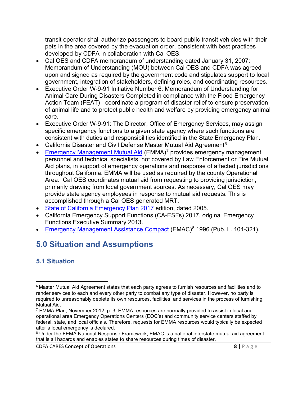transit operator shall authorize passengers to board public transit vehicles with their pets in the area covered by the evacuation order, consistent with best practices developed by CDFA in collaboration with Cal OES.

- Cal OES and CDFA memorandum of understanding dated January 31, 2007: Memorandum of Understanding (MOU) between Cal OES and CDFA was agreed upon and signed as required by the government code and stipulates support to local government, integration of stakeholders, defining roles, and coordinating resources.
- Executive Order W-9-91 Initiative Number 6: Memorandum of Understanding for Animal Care During Disasters Completed in compliance with the Flood Emergency Action Team (FEAT) - coordinate a program of disaster relief to ensure preservation of animal life and to protect public health and welfare by providing emergency animal care.
- Executive Order W-9-91: The Director, Office of Emergency Services, may assign specific emergency functions to a given state agency where such functions are consistent with duties and responsibilities identified in the State Emergency Plan.
- California Disaster and Civil Defense Master Mutual Aid Agreement<sup>6</sup>
- [Emergency Management Mutual Aid](https://www.caloes.ca.gov/PlanningPreparednessSite/Documents/09%20EMMA%20Plan%20and%20Annexes,%20November%202012.pdf) (EMMA)<sup>[7](#page-10-3)</sup> provides emergency management personnel and technical specialists, not covered by Law Enforcement or Fire Mutual Aid plans, in support of emergency operations and response of affected jurisdictions throughout California. EMMA will be used as required by the county Operational Area. Cal OES coordinates mutual aid from requesting to providing jurisdiction, primarily drawing from local government sources. As necessary, Cal OES may provide state agency employees in response to mutual aid requests. This is accomplished through a Cal OES generated MRT.
- [State of California Emergency Plan 2017](https://www.caloes.ca.gov/PlanningPreparednessSite/Documents/California_State_Emergency_Plan_2017.pdf) edition, dated 2005.
- California Emergency Support Functions (CA-ESFs) 2017, original Emergency Functions Executive Summary 2013.
- [Emergency Management Assistance Compact](https://www.fema.gov/pdf/emergency/nrf/EMACoverviewForNRF.pdf) (EMAC)<sup>[8](#page-10-4)</sup> 1996 (Pub. L. 104-321).

# <span id="page-10-0"></span>**5.0 Situation and Assumptions**

## <span id="page-10-1"></span>**5.1 Situation**

**CDFA CARES Concept of Operations 8 | Page** 

<span id="page-10-2"></span><sup>6</sup> Master Mutual Aid Agreement states that each party agrees to furnish resources and facilities and to render services to each and every other party to combat any type of disaster. However, no party is required to unreasonably deplete its own resources, facilities, and services in the process of furnishing Mutual Aid.

<span id="page-10-3"></span> $7$  EMMA Plan, November 2012, p. 3: EMMA resources are normally provided to assist in local and operational area Emergency Operations Centers (EOC's) and community service centers staffed by federal, state, and local officials. Therefore, requests for EMMA resources would typically be expected after a local emergency is declared.

<span id="page-10-4"></span><sup>8</sup> Under the FEMA National Response Framework, EMAC is a national interstate mutual aid agreement that is all hazards and enables states to share resources during times of disaster.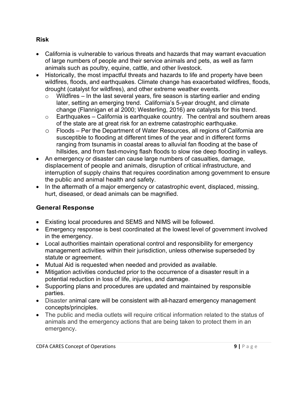#### <span id="page-11-0"></span>**Risk**

- California is vulnerable to various threats and hazards that may warrant evacuation of large numbers of people and their service animals and pets, as well as farm animals such as poultry, equine, cattle, and other livestock.
- Historically, the most impactful threats and hazards to life and property have been wildfires, floods, and earthquakes. Climate change has exacerbated wildfires, floods, drought (catalyst for wildfires), and other extreme weather events.
	- $\circ$  Wildfires In the last several years, fire season is starting earlier and ending later, setting an emerging trend. California's 5-year drought, and climate change (Flannigan et al 2000; Westerling, 2016) are catalysts for this trend.
	- $\circ$  Earthquakes California is earthquake country. The central and southern areas of the state are at great risk for an extreme catastrophic earthquake.
	- o Floods Per the Department of Water Resources, all regions of California are susceptible to flooding at different times of the year and in different forms ranging from tsunamis in coastal areas to alluvial fan flooding at the base of hillsides, and from fast-moving flash floods to slow rise deep flooding in valleys.
- An emergency or disaster can cause large numbers of casualties, damage, displacement of people and animals, disruption of critical infrastructure, and interruption of supply chains that requires coordination among government to ensure the public and animal health and safety.
- In the aftermath of a major emergency or catastrophic event, displaced, missing, hurt, diseased, or dead animals can be magnified.

#### <span id="page-11-1"></span>**General Response**

- Existing local procedures and SEMS and NIMS will be followed.
- Emergency response is best coordinated at the lowest level of government involved in the emergency.
- Local authorities maintain operational control and responsibility for emergency management activities within their jurisdiction, unless otherwise superseded by statute or agreement.
- Mutual Aid is requested when needed and provided as available.
- Mitigation activities conducted prior to the occurrence of a disaster result in a potential reduction in loss of life, injuries, and damage.
- Supporting plans and procedures are updated and maintained by responsible parties.
- Disaster animal care will be consistent with all-hazard emergency management concepts/principles.
- The public and media outlets will require critical information related to the status of animals and the emergency actions that are being taken to protect them in an emergency.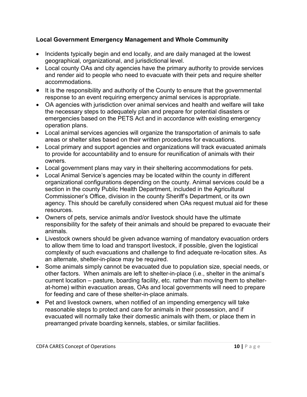#### <span id="page-12-0"></span>**Local Government Emergency Management and Whole Community**

- Incidents typically begin and end locally, and are daily managed at the lowest geographical, organizational, and jurisdictional level.
- Local county OAs and city agencies have the primary authority to provide services and render aid to people who need to evacuate with their pets and require shelter accommodations.
- It is the responsibility and authority of the County to ensure that the governmental response to an event requiring emergency animal services is appropriate.
- OA agencies with jurisdiction over animal services and health and welfare will take the necessary steps to adequately plan and prepare for potential disasters or emergencies based on the PETS Act and in accordance with existing emergency operation plans.
- Local animal services agencies will organize the transportation of animals to safe areas or shelter sites based on their written procedures for evacuations.
- Local primary and support agencies and organizations will track evacuated animals to provide for accountability and to ensure for reunification of animals with their owners.
- Local government plans may vary in their sheltering accommodations for pets.
- Local Animal Service's agencies may be located within the county in different organizational configurations depending on the county. Animal services could be a section in the county Public Health Department, included in the Agricultural Commissioner's Office, division in the county Sheriff's Department, or its own agency. This should be carefully considered when OAs request mutual aid for these resources.
- Owners of pets, service animals and/or livestock should have the ultimate responsibility for the safety of their animals and should be prepared to evacuate their animals.
- Livestock owners should be given advance warning of mandatory evacuation orders to allow them time to load and transport livestock, if possible, given the logistical complexity of such evacuations and challenge to find adequate re-location sites. As an alternate, shelter-in-place may be required.
- Some animals simply cannot be evacuated due to population size, special needs, or other factors. When animals are left to shelter-in-place (i.e., shelter in the animal's current location – pasture, boarding facility, etc. rather than moving them to shelterat-home) within evacuation areas, OAs and local governments will need to prepare for feeding and care of these shelter-in-place animals.
- Pet and livestock owners, when notified of an impending emergency will take reasonable steps to protect and care for animals in their possession, and if evacuated will normally take their domestic animals with them, or place them in prearranged private boarding kennels, stables, or similar facilities.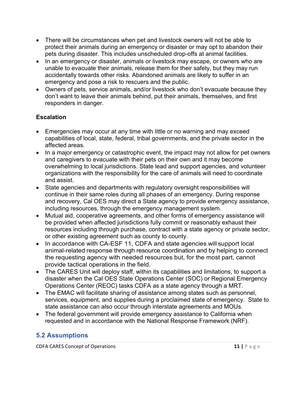- There will be circumstances when pet and livestock owners will not be able to protect their animals during an emergency or disaster or may opt to abandon their pets during disaster. This includes unscheduled drop-offs at animal facilities.
- In an emergency or disaster, animals or livestock may escape, or owners who are unable to evacuate their animals, release them for their safety, but they may run accidentally towards other risks. Abandoned animals are likely to suffer in an emergency and pose a risk to rescuers and the public.
- Owners of pets, service animals, and/or livestock who don't evacuate because they don't want to leave their animals behind, put their animals, themselves, and first responders in danger.

### <span id="page-13-0"></span>**Escalation**

- Emergencies may occur at any time with little or no warning and may exceed capabilities of local, state, federal, tribal governments, and the private sector in the affected areas.
- In a major emergency or catastrophic event, the impact may not allow for pet owners and caregivers to evacuate with their pets on their own and it may become overwhelming to local jurisdictions. State lead and support agencies, and volunteer organizations with the responsibility for the care of animals will need to coordinate and assist.
- State agencies and departments with regulatory oversight responsibilities will continue in their same roles during all phases of an emergency. During response and recovery, Cal OES may direct a State agency to provide emergency assistance, including resources, through the emergency management system.
- Mutual aid, cooperative agreements, and other forms of emergency assistance will be provided when affected jurisdictions fully commit or reasonably exhaust their resources including through purchase, contract with a state agency or private sector, or other existing agreement such as county to county.
- In accordance with CA-ESF 11, CDFA and state agencies will support local animal-related response through resource coordination and by helping to connect the requesting agency with needed resources but, for the most part, cannot provide tactical operations in the field.
- The CARES Unit will deploy staff, within its capabilities and limitations, to support a disaster when the Cal OES State Operations Center (SOC) or Regional Emergency Operations Center (REOC) tasks CDFA as a state agency through a MRT.
- The EMAC will facilitate sharing of assistance among states such as personnel, services, equipment, and supplies during a proclaimed state of emergency. State to state assistance can also occur through interstate agreements and MOUs.
- The federal government will provide emergency assistance to California when requested and in accordance with the National Response Framework (NRF).

## <span id="page-13-1"></span>**5.2 Assumptions**

**CDFA CARES Concept of Operations 11 |**  $P$  a g e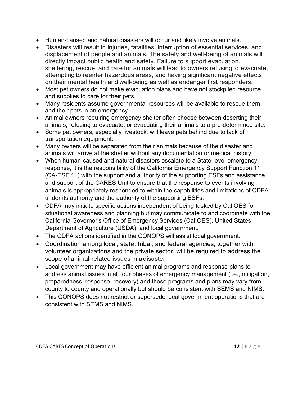- Human-caused and natural disasters will occur and likely involve animals.
- Disasters will result in injuries, fatalities, interruption of essential services, and displacement of people and animals. The safety and well-being of animals will directly impact public health and safety. Failure to support evacuation, sheltering, rescue, and care for animals will lead to owners refusing to evacuate, attempting to reenter hazardous areas, and having significant negative effects on their mental health and well-being as well as endanger first responders.
- Most pet owners do not make evacuation plans and have not stockpiled resource and supplies to care for their pets.
- Many residents assume governmental resources will be available to rescue them and their pets in an emergency.
- Animal owners requiring emergency shelter often choose between deserting their animals, refusing to evacuate, or evacuating their animals to a pre-determined site.
- Some pet owners, especially livestock, will leave pets behind due to lack of transportation equipment.
- Many owners will be separated from their animals because of the disaster and animals will arrive at the shelter without any documentation or medical history.
- When human-caused and natural disasters escalate to a State-level emergency response, it is the responsibility of the California Emergency Support Function 11 (CA-ESF 11) with the support and authority of the supporting ESFs and assistance and support of the CARES Unit to ensure that the response to events involving animals is appropriately responded to within the capabilities and limitations of CDFA under its authority and the authority of the supporting ESFs.
- CDFA may initiate specific actions independent of being tasked by Cal OES for situational awareness and planning but may communicate to and coordinate with the California Governor's Office of Emergency Services (Cal OES), United States Department of Agriculture (USDA), and local government.
- The CDFA actions identified in the CONOPS will assist local government.
- Coordination among local, state, tribal, and federal agencies, together with volunteer organizations and the private sector, will be required to address the scope of animal-related issues in adisaster.
- Local government may have efficient animal programs and response plans to address animal issues in all four phases of emergency management (i.e., mitigation, preparedness, response, recovery) and those programs and plans may vary from county to county and operationally but should be consistent with SEMS and NIMS.
- This CONOPS does not restrict or supersede local government operations that are consistent with SEMS and NIMS.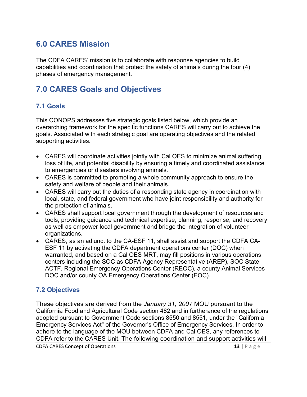## <span id="page-15-0"></span>**6.0 CARES Mission**

The CDFA CARES' mission is to collaborate with response agencies to build capabilities and coordination that protect the safety of animals during the four (4) phases of emergency management.

# <span id="page-15-1"></span>**7.0 CARES Goals and Objectives**

#### <span id="page-15-2"></span>**7.1 Goals**

This CONOPS addresses five strategic goals listed below, which provide an overarching framework for the specific functions CARES will carry out to achieve the goals. Associated with each strategic goal are operating objectives and the related supporting activities.

- CARES will coordinate activities jointly with Cal OES to minimize animal suffering, loss of life, and potential disability by ensuring a timely and coordinated assistance to emergencies or disasters involving animals.
- CARES is committed to promoting a whole community approach to ensure the safety and welfare of people and their animals.
- CARES will carry out the duties of a responding state agency in coordination with local, state, and federal government who have joint responsibility and authority for the protection of animals.
- CARES shall support local government through the development of resources and tools, providing guidance and technical expertise, planning, response, and recovery as well as empower local government and bridge the integration of volunteer organizations.
- CARES, as an adjunct to the CA-ESF 11, shall assist and support the CDFA CA-ESF 11 by activating the CDFA department operations center (DOC) when warranted, and based on a Cal OES MRT, may fill positions in various operations centers including the SOC as CDFA Agency Representative (AREP), SOC State ACTF, Regional Emergency Operations Center (REOC), a county Animal Services DOC and/or county OA Emergency Operations Center (EOC).

#### <span id="page-15-3"></span>**7.2 Objectives**

**CDFA CARES Concept of Operations 13 |**  $\overline{P}$  a g e These objectives are derived from the *January 31, 2007* MOU pursuant to the California Food and Agricultural Code section 482 and in furtherance of the regulations adopted pursuant to Government Code sections 8550 and 8551, under the "California Emergency Services Act" of the Governor's Office of Emergency Services. In order to adhere to the language of the MOU between CDFA and Cal OES, any references to CDFA refer to the CARES Unit. The following coordination and support activities will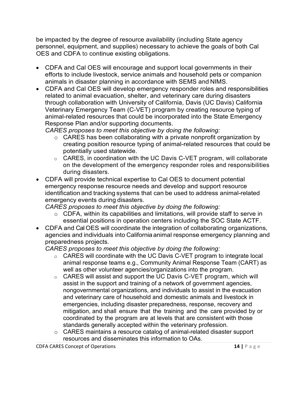be impacted by the degree of resource availability (including State agency personnel, equipment, and supplies) necessary to achieve the goals of both Cal OES and CDFA to continue existing obligations.

- CDFA and Cal OES will encourage and support local governments in their efforts to include livestock, service animals and household pets or companion animals in disaster planning in accordance with SEMS and NIMS.
- CDFA and Cal OES will develop emergency responder roles and responsibilities related to animal evacuation, shelter, and veterinary care during disasters through collaboration with University of California, Davis (UC Davis) California Veterinary Emergency Team (C-VET) program by creating resource typing of animal-related resources that could be incorporated into the State Emergency Response Plan and/or supporting documents.

*CARES proposes to meet this objective by doing the following:*

- o CARES has been collaborating with a private nonprofit organization by creating position resource typing of animal-related resources that could be potentially used statewide.
- o CARES, in coordination with the UC Davis C-VET program, will collaborate on the development of the emergency responder roles and responsibilities during disasters.
- CDFA will provide technical expertise to Cal OES to document potential emergency response resource needs and develop and support resource identification and tracking systems that can be used to address animal-related emergency events during disasters.

*CARES proposes to meet this objective by doing the following:*

- o CDFA, within its capabilities and limitations, will provide staff to serve in essential positions in operation centers including the SOC State ACTF.
- CDFA and Cal OES will coordinate the integration of collaborating organizations, agencies and individuals into Californiaanimal response emergency planning and preparedness projects.

*CARES proposes to meet this objective by doing the following:*

- o CARES will coordinate with the UC Davis C-VET program to integrate local animal response teams e.g., Community Animal Response Team (CART) as well as other volunteer agencies/organizations into the program.
- o CARES will assist and support the UC Davis C-VET program, which will assist in the support and training of a network of government agencies, nongovernmental organizations, and individuals to assist in the evacuation and veterinary care of household and domestic animals and livestock in emergencies, including disaster preparedness, response, recovery and mitigation, and shall ensure that the training and the care provided by or coordinated by the program are at levels that are consistent with those standards generally accepted within the veterinary profession.
- o CARES maintains a resource catalog of animal-related disaster support resources and disseminates this information to OAs.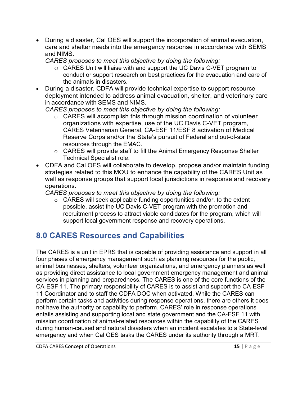• During a disaster, Cal OES will support the incorporation of animal evacuation, care and shelter needs into the emergency response in accordance with SEMS and NIMS.

*CARES proposes to meet this objective by doing the following:*

- o CARES Unit will liaise with and support the UC Davis C-VET program to conduct or support research on best practices for the evacuation and care of the animals in disasters.
- During a disaster, CDFA will provide technical expertise to support resource deployment intended to address animal evacuation, shelter, and veterinary care in accordance with SEMS and NIMS.

*CARES proposes to meet this objective by doing the following:*

- o CARES will accomplish this through mission coordination of volunteer organizations with expertise, use of the UC Davis C-VET program, CARES Veterinarian General, CA-ESF 11/ESF 8 activation of Medical Reserve Corps and/or the State's pursuit of Federal and out-of-state resources through the EMAC.
- o CARES will provide staff to fill the Animal Emergency Response Shelter Technical Specialist role.
- CDFA and Cal OES will collaborate to develop, propose and/or maintain funding strategies related to this MOU to enhance the capability of the CARES Unit as well as response groups that support local jurisdictions in response and recovery operations.

*CARES proposes to meet this objective by doing the following:*

 $\circ$  CARES will seek applicable funding opportunities and/or, to the extent possible, assist the UC Davis C-VET program with the promotion and recruitment process to attract viable candidates for the program, which will support local government response and recovery operations.

# <span id="page-17-0"></span>**8.0 CARES Resources and Capabilities**

The CARES is a unit in EPRS that is capable of providing assistance and support in all four phases of emergency management such as planning resources for the public, animal businesses, shelters, volunteer organizations, and emergency planners as well as providing direct assistance to local government emergency management and animal services in planning and preparedness. The CARES is one of the core functions of the CA-ESF 11. The primary responsibility of CARES is to assist and support the CA-ESF 11 Coordinator and to staff the CDFA DOC when activated. While the CARES can perform certain tasks and activities during response operations, there are others it does not have the authority or capability to perform. CARES' role in response operations entails assisting and supporting local and state government and the CA-ESF 11 with mission coordination of animal-related resources within the capability of the CARES during human-caused and natural disasters when an incident escalates to a State-level emergency and when Cal OES tasks the CARES under its authority through a MRT.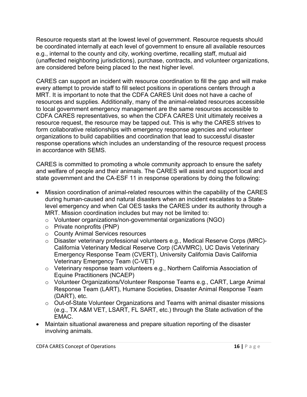Resource requests start at the lowest level of government. Resource requests should be coordinated internally at each level of government to ensure all available resources e.g., internal to the county and city, working overtime, recalling staff, mutual aid (unaffected neighboring jurisdictions), purchase, contracts, and volunteer organizations, are considered before being placed to the next higher level.

CARES can support an incident with resource coordination to fill the gap and will make every attempt to provide staff to fill select positions in operations centers through a MRT. It is important to note that the CDFA CARES Unit does not have a cache of resources and supplies. Additionally, many of the animal-related resources accessible to local government emergency management are the same resources accessible to CDFA CARES representatives, so when the CDFA CARES Unit ultimately receives a resource request, the resource may be tapped out. This is why the CARES strives to form collaborative relationships with emergency response agencies and volunteer organizations to build capabilities and coordination that lead to successful disaster response operations which includes an understanding of the resource request process in accordance with SEMS.

CARES is committed to promoting a whole community approach to ensure the safety and welfare of people and their animals. The CARES will assist and support local and state government and the CA-ESF 11 in response operations by doing the following:

- Mission coordination of animal-related resources within the capability of the CARES during human-caused and natural disasters when an incident escalates to a Statelevel emergency and when Cal OES tasks the CARES under its authority through a MRT. Mission coordination includes but may not be limited to:
	- o Volunteer organizations/non-governmental organizations (NGO)
	- o Private nonprofits (PNP)
	- o County Animal Services resources
	- o Disaster veterinary professional volunteers e.g., Medical Reserve Corps (MRC)- California Veterinary Medical Reserve Corp (CAVMRC), UC Davis Veterinary Emergency Response Team (CVERT), University California Davis California Veterinary Emergency Team (C-VET)
	- o Veterinary response team volunteers e.g., Northern California Association of Equine Practitioners (NCAEP)
	- o Volunteer Organizations/Volunteer Response Teams e.g., CART, Large Animal Response Team (LART), Humane Societies, Disaster Animal Response Team (DART), etc.
	- o Out-of-State Volunteer Organizations and Teams with animal disaster missions (e.g., TX A&M VET, LSART, FL SART, etc.) through the State activation of the EMAC.
- Maintain situational awareness and prepare situation reporting of the disaster involving animals.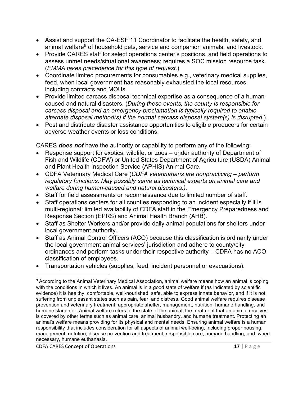- Assist and support the CA-ESF 11 Coordinator to facilitate the health, safety, and animal welfare<sup>[9](#page-19-0)</sup> of household pets, service and companion animals, and livestock.
- Provide CARES staff for select operations center's positions, and field operations to assess unmet needs/situational awareness; requires a SOC mission resource task. (*EMMA takes precedence for this type of request.*)
- Coordinate limited procurements for consumables e.g., veterinary medical supplies, feed, when local government has reasonably exhausted the local resources including contracts and MOUs.
- Provide limited carcass disposal technical expertise as a consequence of a humancaused and natural disasters. (*During these events, the county is responsible for carcass disposal and an emergency proclamation is typically required to enable alternate disposal method(s) if the normal carcass disposal system(s) is disrupted*.).
- Post and distribute disaster assistance opportunities to eligible producers for certain adverse weather events or loss conditions.

CARES *does not* have the authority or capability to perform any of the following:

- Response support for exotics, wildlife, or zoos under authority of Department of Fish and Wildlife (CDFW) or United States Department of Agriculture (USDA) Animal and Plant Health Inspection Service (APHIS) Animal Care.
- CDFA Veterinary Medical Care (*CDFA veterinarians are nonpracticing perform regulatory functions. May possibly serve as technical experts on animal care and welfare during human-caused and natural disasters.).*
- Staff for field assessments or reconnaissance due to limited number of staff.
- Staff operations centers for all counties responding to an incident especially if it is multi-regional; limited availability of CDFA staff in the Emergency Preparedness and Response Section (EPRS) and Animal Health Branch (AHB).
- Staff as Shelter Workers and/or provide daily animal populations for shelters under local government authority.
- Staff as Animal Control Officers (ACO) because this classification is ordinarily under the local government animal services' jurisdiction and adhere to county/city ordinances and perform tasks under their respective authority – CDFA has no ACO classification of employees.
- Transportation vehicles (supplies, feed, incident personnel or evacuations).

<span id="page-19-0"></span><sup>&</sup>lt;sup>9</sup> According to the Animal Veterinary Medical Association, animal welfare means how an animal is coping with the conditions in which it lives. An animal is in a good state of welfare if (as indicated by scientific evidence) it is healthy, comfortable, well-nourished, safe, able to express innate behavior, and if it is not suffering from unpleasant states such as pain, fear, and distress. Good animal welfare requires disease prevention and veterinary treatment, appropriate shelter, management, nutrition, humane handling, and humane slaughter. Animal welfare refers to the state of the animal; the treatment that an animal receives is covered by other terms such as animal care, animal husbandry, and humane treatment. Protecting an animal's welfare means providing for its physical and mental needs. Ensuring animal welfare is a human responsibility that includes consideration for all aspects of animal well-being, including proper housing, management, nutrition, disease prevention and treatment, responsible care, humane handling, and, when necessary, humane euthanasia.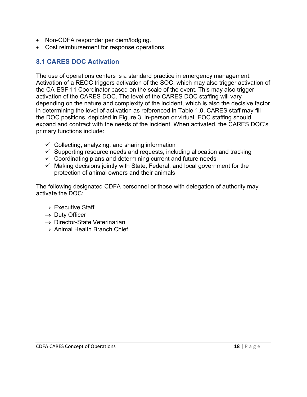- Non-CDFA responder per diem/lodging.
- <span id="page-20-0"></span>• Cost reimbursement for response operations.

## **8.1 CARES DOC Activation**

The use of operations centers is a standard practice in emergency management. Activation of a REOC triggers activation of the SOC, which may also trigger activation of the CA-ESF 11 Coordinator based on the scale of the event. This may also trigger activation of the CARES DOC. The level of the CARES DOC staffing will vary depending on the nature and complexity of the incident, which is also the decisive factor in determining the level of activation as referenced in Table 1.0. CARES staff may fill the DOC positions, depicted in Figure 3, in-person or virtual. EOC staffing should expand and contract with the needs of the incident. When activated, the CARES DOC's primary functions include:

- $\checkmark$  Collecting, analyzing, and sharing information
- $\checkmark$  Supporting resource needs and requests, including allocation and tracking
- $\checkmark$  Coordinating plans and determining current and future needs
- $\checkmark$  Making decisions jointly with State, Federal, and local government for the protection of animal owners and their animals

The following designated CDFA personnel or those with delegation of authority may activate the DOC:

- $\rightarrow$  Executive Staff
- $\rightarrow$  Duty Officer
- $\rightarrow$  Director-State Veterinarian
- $\rightarrow$  Animal Health Branch Chief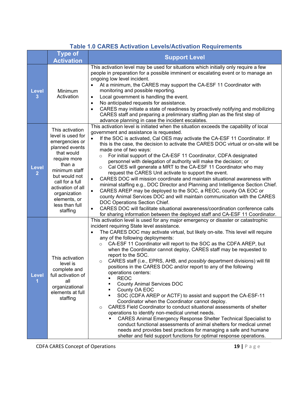|                   |                                                                                                                                                                                                                                                          | <u>I ADIE TU UANES AUTRATION LEVEIS/AUTRATION NEQUITEMENTS</u>                                                                                                                                                                                                                                                                                                                                                                                                                                                                                                                                                                                                                                                                                                                                                                                                                                                                                                                                                                                                                                                                                                                                                                                            |
|-------------------|----------------------------------------------------------------------------------------------------------------------------------------------------------------------------------------------------------------------------------------------------------|-----------------------------------------------------------------------------------------------------------------------------------------------------------------------------------------------------------------------------------------------------------------------------------------------------------------------------------------------------------------------------------------------------------------------------------------------------------------------------------------------------------------------------------------------------------------------------------------------------------------------------------------------------------------------------------------------------------------------------------------------------------------------------------------------------------------------------------------------------------------------------------------------------------------------------------------------------------------------------------------------------------------------------------------------------------------------------------------------------------------------------------------------------------------------------------------------------------------------------------------------------------|
|                   | <b>Type of</b><br><b>Activation</b>                                                                                                                                                                                                                      | <b>Support Level</b>                                                                                                                                                                                                                                                                                                                                                                                                                                                                                                                                                                                                                                                                                                                                                                                                                                                                                                                                                                                                                                                                                                                                                                                                                                      |
| <b>Level</b><br>3 | Minimum<br>Activation                                                                                                                                                                                                                                    | This activation level may be used for situations which initially only require a few<br>people in preparation for a possible imminent or escalating event or to manage an<br>ongoing low level incident.<br>At a minimum, the CARES may support the CA-ESF 11 Coordinator with<br>monitoring and possible reporting.<br>Local government is handling the event.<br>$\bullet$<br>No anticipated requests for assistance.<br>$\bullet$<br>CARES may initiate a state of readiness by proactively notifying and mobilizing<br>$\bullet$<br>CARES staff and preparing a preliminary staffing plan as the first step of<br>advance planning in case the incident escalates.                                                                                                                                                                                                                                                                                                                                                                                                                                                                                                                                                                                     |
| <b>Level</b><br>2 | This activation<br>level is used for<br>emergencies or<br>planned events<br>that would<br>require more<br>than a<br>minimum staff<br>but would not<br>call for a full<br>activation of all<br>organization<br>elements, or<br>less than full<br>staffing | This activation level is initiated when the situation exceeds the capability of local<br>government and assistance is requested.<br>If the SOC is activated, Cal OES may activate the CA-ESF 11 Coordinator. If<br>$\bullet$<br>this is the case, the decision to activate the CARES DOC virtual or on-site will be<br>made one of two ways:<br>For initial support of the CA-ESF 11 Coordinator, CDFA designated<br>$\circ$<br>personnel with delegation of authority will make the decision; or<br>Cal OES will generate a MRT to the CA-ESF 11 Coordinator who may<br>$\circ$<br>request the CARES Unit activate to support the event.<br>CARES DOC will mission coordinate and maintain situational awareness with<br>minimal staffing e.g., DOC Director and Planning and Intelligence Section Chief.<br>CARES AREP may be deployed to the SOC, a REOC, county OA EOC or<br>$\bullet$<br>county Animal Services DOC and will maintain communication with the CARES<br>DOC Operations Section Chief.<br>CARES DOC will facilitate situational awareness/coordination conference calls<br>$\bullet$<br>for sharing information between the deployed staff and CA-ESF 11 Coordinator.                                                                   |
| Level             | This activation<br>level is<br>complete and<br>full activation of<br>all<br>organizational<br>elements at full<br>staffing                                                                                                                               | This activation level is used for any major emergency or disaster or catastrophic<br>incident requiring State level assistance.<br>The CARES DOC may activate virtual, but likely on-site. This level will require<br>any of the following deployments:<br>CA-ESF 11 Coordinator will report to the SOC as the CDFA AREP, but<br>$\circ$<br>when the Coordinator cannot deploy, CARES staff may be requested to<br>report to the SOC.<br>CARES staff (i.e., EPRS, AHB, and <i>possibly</i> department divisions) will fill<br>$\circ$<br>positions in the CARES DOC and/or report to any of the following<br>operations centers:<br><b>REOC</b><br><b>County Animal Services DOC</b><br>County OA EOC<br>SOC (CDFA AREP or ACTF) to assist and support the CA-ESF-11<br>٠<br>Coordinator when the Coordinator cannot deploy.<br>CARES Field Coordinator to conduct situational assessments of shelter<br>$\circ$<br>operations to identify non-medical unmet needs.<br>CARES Animal Emergency Response Shelter Technical Specialist to<br>conduct functional assessments of animal shelters for medical unmet<br>needs and provides best practices for managing a safe and humane<br>shelter and field support functions for optimal response operations. |

## **Table 1.0 CARES Activation Levels/Activation Requirements**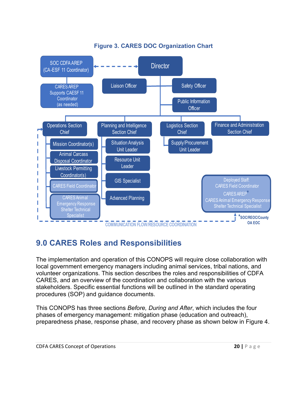

### **Figure 3. CARES DOC Organization Chart**

## <span id="page-22-0"></span>**9.0 CARES Roles and Responsibilities**

The implementation and operation of this CONOPS will require close collaboration with local government emergency managers including animal services, tribal nations, and volunteer organizations. This section describes the roles and responsibilities of CDFA CARES, and an overview of the coordination and collaboration with the various stakeholders. Specific essential functions will be outlined in the standard operating procedures (SOP) and guidance documents.

This CONOPS has three sections *Before, During and After*, which includes the four phases of emergency management: mitigation phase (education and outreach), preparedness phase, response phase, and recovery phase as shown below in Figure 4.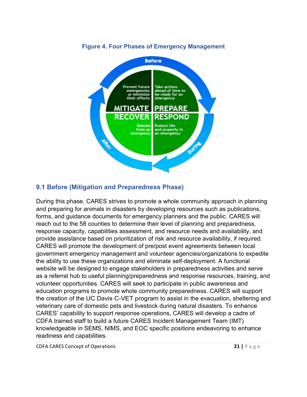

#### **Figure 4. Four Phases of Emergency Management**

### <span id="page-23-0"></span>**9.1 Before (Mitigation and Preparedness Phase)**

During this phase, CARES strives to promote a whole community approach in planning and preparing for animals in disasters by developing resources such as publications, forms, and guidance documents for emergency planners and the public. CARES will reach out to the 58 counties to determine their level of planning and preparedness, response capacity, capabilities assessment, and resource needs and availability, and provide assistance based on prioritization of risk and resource availability, if required. CARES will promote the development of pre/post event agreements between local government emergency management and volunteer agencies/organizations to expedite the ability to use these organizations and eliminate self-deployment. A functional website will be designed to engage stakeholders in preparedness activities and serve as a referral hub to useful planning/preparedness and response resources, training, and volunteer opportunities. CARES will seek to participate in public awareness and education programs to promote whole community preparedness. CARES will support the creation of the UC Davis C-VET program to assist in the evacuation, sheltering and veterinary care of domestic pets and livestock during natural disasters. To enhance CARES' capability to support response operations, CARES will develop a cadre of CDFA trained staff to build a future CARES Incident Management Team (IMT) knowledgeable in SEMS, NIMS, and EOC specific positions endeavoring to enhance readiness and capabilities.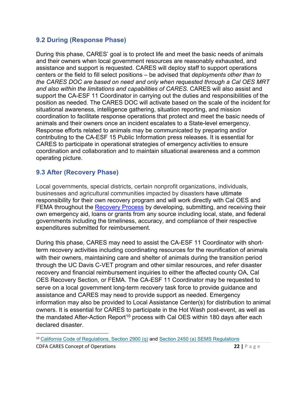#### <span id="page-24-0"></span>**9.2 During (Response Phase)**

During this phase, CARES' goal is to protect life and meet the basic needs of animals and their owners when local government resources are reasonably exhausted, and assistance and support is requested. CARES will deploy staff to support operations centers or the field to fill select positions – be advised that *deployments other than to the CARES DOC are based on need and only when requested through a Cal OES MRT and also within the limitations and capabilities of CARES.* CARES will also assist and support the CA-ESF 11 Coordinator in carrying out the duties and responsibilities of the position as needed. The CARES DOC will activate based on the scale of the incident for situational awareness, intelligence gathering, situation reporting, and mission coordination to facilitate response operations that protect and meet the basic needs of animals and their owners once an incident escalates to a State-level emergency. Response efforts related to animals may be communicated by preparing and/or contributing to the CA-ESF 15 Public Information press releases. It is essential for CARES to participate in operational strategies of emergency activities to ensure coordination and collaboration and to maintain situational awareness and a common operating picture.

## <span id="page-24-1"></span>**9.3 After (Recovery Phase)**

Local governments, special districts, certain nonprofit organizations, individuals, businesses and agricultural communities impacted by disasters have ultimate responsibility for their own recovery program and will work directly with Cal OES and FEMA throughout the [Recovery Process](https://www.caloes.ca.gov/governments-tribal/recovery) by developing, submitting, and receiving their own emergency aid, loans or grants from any source including local, state, and federal governments including the timeliness, accuracy, and compliance of their respective expenditures submitted for reimbursement.

During this phase, CARES may need to assist the CA-ESF 11 Coordinator with shortterm recovery activities including coordinating resources for the reunification of animals with their owners, maintaining care and shelter of animals during the transition period through the UC Davis C-VET program and other similar resources, and refer disaster recovery and financial reimbursement inquiries to either the affected county OA, Cal OES Recovery Section, or FEMA. The CA-ESF 11 Coordinator may be requested to serve on a local government long-term recovery task force to provide guidance and assistance and CARES may need to provide support as needed. Emergency information may also be provided to Local Assistance Center(s) for distribution to animal owners. It is essential for CARES to participate in the Hot Wash post-event, as well as the mandated After-Action Report<sup>[10](#page-24-2)</sup> process with Cal OES within 180 days after each declared disaster.

<span id="page-24-2"></span>CDFA CARES Concept of Operations **22 |** Page <sup>10</sup> [California Code of Regulations, Section 2900 \(q\)](https://www.caloes.ca.gov/PlanningPreparednessSite/Documents/02%20California%20Code%20of%20Regulations%202900q.pdf) and [Section 2450 \(a\) SEMS Regulations](https://www.caloes.ca.gov/PlanningPreparednessSite/Documents/01%202450.pdf)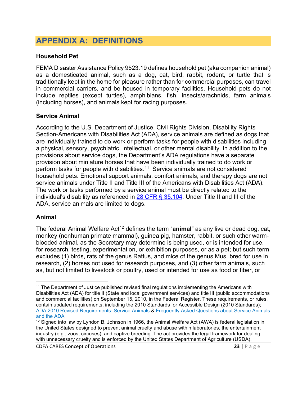## <span id="page-25-0"></span>**APPENDIX A: DEFINITIONS**

#### **Household Pet**

FEMA Disaster Assistance Policy 9523.19 defines household pet (aka companion animal) as a domesticated animal, such as a dog, cat, bird, rabbit, rodent, or turtle that is traditionally kept in the home for pleasure rather than for commercial purposes, can travel in commercial carriers, and be housed in temporary facilities. Household pets do not include reptiles (except turtles), amphibians, fish, insects/arachnids, farm animals (including horses), and animals kept for racing purposes.

#### **Service Animal**

According to the U.S. Department of Justice, Civil Rights Division, Disability Rights Section-Americans with Disabilities Act (ADA), service animals are defined as dogs that are individually trained to do work or perform tasks for people with disabilities including a physical, sensory, psychiatric, intellectual, or other mental disability. In addition to the provisions about service dogs, the Department's ADA regulations have a separate provision about miniature horses that have been individually trained to do work or perform tasks for people with disabilities.[11](#page-25-1) Service animals are not considered household pets. Emotional support animals, comfort animals, and therapy dogs are not service animals under Title II and Title III of the Americans with Disabilities Act (ADA). The work or tasks performed by a service animal must be directly related to the individual's disability as referenced in [28 CFR § 35.104](https://www.ada.gov/regs2010/titleII_2010/titleII_2010_integrated.htm)*.* Under Title II and III of the ADA, service animals are limited to dogs.

#### **Animal**

The federal Animal Welfare Act<sup>[12](#page-25-2)</sup> defines the term "**animal**" as any live or dead dog, cat, monkey (nonhuman primate mammal), guinea pig, hamster, rabbit, or such other warmblooded animal, as the Secretary may determine is being used, or is intended for use, for research, testing, experimentation, or exhibition purposes, or as a pet; but such term excludes (1) birds, rats of the genus Rattus, and mice of the genus Mus, bred for use in research, (2) horses not used for research purposes, and (3) other farm animals, such as, but not limited to livestock or poultry, used or intended for use as food or fiber, or

<span id="page-25-1"></span><sup>11</sup> The Department of Justice published revised final regulations implementing the Americans with Disabilities Act (ADA) for title II (State and local government services) and title III (public accommodations and commercial facilities) on September 15, 2010, in the Federal Register. These requirements, or rules, contain updated requirements, including the 2010 Standards for Accessible Design (2010 Standards); ADA 2010 Revised Requirements: Service Animals & [Frequently Asked Questions about Service Animals](https://www.ada.gov/regs2010/service_animal_qa.html)  [and the ADA](https://www.ada.gov/regs2010/service_animal_qa.html)

<span id="page-25-2"></span><sup>&</sup>lt;sup>12</sup> Signed into law by Lyndon B. Johnson in 1966, the Animal Welfare Act (AWA) is federal legislation in the United States designed to prevent animal cruelty and abuse within laboratories, the entertainment industry (e.g., zoos, circuses), and captive breeding. The act provides the legal framework for dealing with unnecessary cruelty and is enforced by the United States Department of Agriculture (USDA).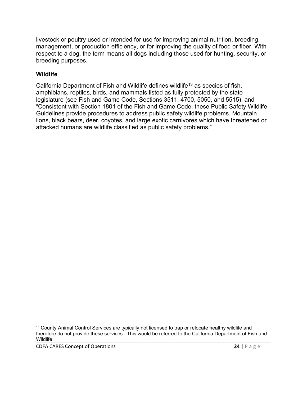livestock or poultry used or intended for use for improving animal nutrition, breeding, management, or production efficiency, or for improving the quality of food or fiber. With respect to a dog, the term means all dogs including those used for hunting, security, or breeding purposes.

#### **Wildlife**

California Department of Fish and Wildlife defines wildlife[13](#page-26-0) as species of fish, amphibians, reptiles, birds, and mammals listed as fully protected by the state legislature (see Fish and Game Code, Sections 3511, 4700, 5050, and 5515), and "Consistent with Section 1801 of the Fish and Game Code, these Public Safety Wildlife Guidelines provide procedures to address public safety wildlife problems. Mountain lions, black bears, deer, coyotes, and large exotic carnivores which have threatened or attacked humans are wildlife classified as public safety problems."

<span id="page-26-0"></span><sup>&</sup>lt;sup>13</sup> County Animal Control Services are typically not licensed to trap or relocate healthy wildlife and therefore do not provide these services. This would be referred to the California Department of Fish and Wildlife.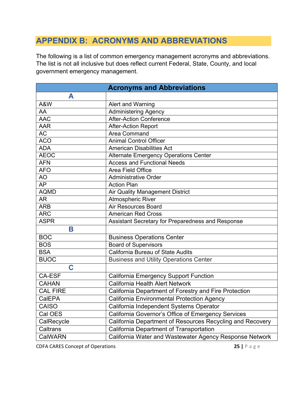## <span id="page-27-0"></span>**APPENDIX B: ACRONYMS AND ABBREVIATIONS**

The following is a list of common emergency management acronyms and abbreviations. The list is not all inclusive but does reflect current Federal, State, County, and local government emergency management.

|                 | <b>Acronyms and Abbreviations</b>                         |
|-----------------|-----------------------------------------------------------|
| A               |                                                           |
| A&W             | Alert and Warning                                         |
| AA              | <b>Administering Agency</b>                               |
| <b>AAC</b>      | <b>After-Action Conference</b>                            |
| <b>AAR</b>      | <b>After-Action Report</b>                                |
| AC              | <b>Area Command</b>                                       |
| <b>ACO</b>      | <b>Animal Control Officer</b>                             |
| <b>ADA</b>      | <b>American Disabilities Act</b>                          |
| <b>AEOC</b>     | <b>Alternate Emergency Operations Center</b>              |
| <b>AFN</b>      | <b>Access and Functional Needs</b>                        |
| <b>AFO</b>      | Area Field Office                                         |
| <b>AO</b>       | <b>Administrative Order</b>                               |
| $\overline{AP}$ | <b>Action Plan</b>                                        |
| <b>AQMD</b>     | <b>Air Quality Management District</b>                    |
| <b>AR</b>       | <b>Atmospheric River</b>                                  |
| <b>ARB</b>      | <b>Air Resources Board</b>                                |
| <b>ARC</b>      | <b>American Red Cross</b>                                 |
| <b>ASPR</b>     | Assistant Secretary for Preparedness and Response         |
| B               |                                                           |
| <b>BOC</b>      | <b>Business Operations Center</b>                         |
| <b>BOS</b>      | <b>Board of Supervisors</b>                               |
| <b>BSA</b>      | <b>California Bureau of State Audits</b>                  |
| <b>BUOC</b>     | <b>Business and Utility Operations Center</b>             |
| C               |                                                           |
| <b>CA-ESF</b>   | <b>California Emergency Support Function</b>              |
| <b>CAHAN</b>    | California Health Alert Network                           |
| <b>CAL FIRE</b> | California Department of Forestry and Fire Protection     |
| CalEPA          | <b>California Environmental Protection Agency</b>         |
| <b>CAISO</b>    | California Independent Systems Operator                   |
| Cal OES         | California Governor's Office of Emergency Services        |
| CalRecycle      | California Department of Resources Recycling and Recovery |
| Caltrans        | California Department of Transportation                   |
| CalWARN         | California Water and Wastewater Agency Response Network   |

**CDFA CARES Concept of Operations 25 |**  $\Box$  **25 |**  $\Box$  **25 |**  $\Box$  **25 |**  $\Box$  **25 |**  $\Box$  **25 |**  $\Box$  **25 |**  $\Box$  **25 |**  $\Box$  **25 |**  $\Box$  **25 |**  $\Box$  **25 |**  $\Box$  **25 |**  $\Box$  **25 |**  $\Box$  **25**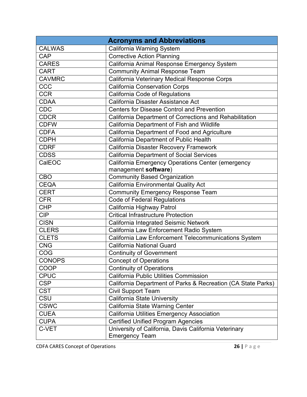|               | <b>Acronyms and Abbreviations</b>                            |
|---------------|--------------------------------------------------------------|
| <b>CALWAS</b> | California Warning System                                    |
| CAP           | <b>Corrective Action Planning</b>                            |
| <b>CARES</b>  | California Animal Response Emergency System                  |
| <b>CART</b>   | <b>Community Animal Response Team</b>                        |
| <b>CAVMRC</b> | California Veterinary Medical Response Corps                 |
| CCC           | <b>California Conservation Corps</b>                         |
| <b>CCR</b>    | California Code of Regulations                               |
| <b>CDAA</b>   | California Disaster Assistance Act                           |
| <b>CDC</b>    | <b>Centers for Disease Control and Prevention</b>            |
| <b>CDCR</b>   | California Department of Corrections and Rehabilitation      |
| <b>CDFW</b>   | California Department of Fish and Wildlife                   |
| <b>CDFA</b>   | California Department of Food and Agriculture                |
| <b>CDPH</b>   | California Department of Public Health                       |
| <b>CDRF</b>   | California Disaster Recovery Framework                       |
| <b>CDSS</b>   | <b>California Department of Social Services</b>              |
| CalEOC        | California Emergency Operations Center (emergency            |
|               | management software)                                         |
| <b>CBO</b>    | <b>Community Based Organization</b>                          |
| <b>CEQA</b>   | California Environmental Quality Act                         |
| <b>CERT</b>   | <b>Community Emergency Response Team</b>                     |
| <b>CFR</b>    | <b>Code of Federal Regulations</b>                           |
| <b>CHP</b>    | California Highway Patrol                                    |
| <b>CIP</b>    | <b>Critical Infrastructure Protection</b>                    |
| <b>CISN</b>   | California Integrated Seismic Network                        |
| <b>CLERS</b>  | California Law Enforcement Radio System                      |
| <b>CLETS</b>  | California Law Enforcement Telecommunications System         |
| <b>CNG</b>    | <b>California National Guard</b>                             |
| COG           | <b>Continuity of Government</b>                              |
| <b>CONOPS</b> | <b>Concept of Operations</b>                                 |
| <b>COOP</b>   | <b>Continuity of Operations</b>                              |
| <b>CPUC</b>   | California Public Utilities Commission                       |
| <b>CSP</b>    | California Department of Parks & Recreation (CA State Parks) |
| <b>CST</b>    | <b>Civil Support Team</b>                                    |
| CSU           | California State University                                  |
| <b>CSWC</b>   | California State Warning Center                              |
| <b>CUEA</b>   | <b>California Utilities Emergency Association</b>            |
| <b>CUPA</b>   | <b>Certified Unified Program Agencies</b>                    |
| C-VET         | University of California, Davis California Veterinary        |
|               | <b>Emergency Team</b>                                        |

**CDFA CARES Concept of Operations 26 |**  $\Box$  **26 |**  $\Box$  **26 |**  $\Box$  **26 |**  $\Box$  **26 |**  $\Box$  **26 |**  $\Box$  **26 |**  $\Box$  **26 |**  $\Box$  **26 |**  $\Box$  **26 |**  $\Box$  **26 |**  $\Box$  **26 |**  $\Box$  **26 |**  $\Box$  **26**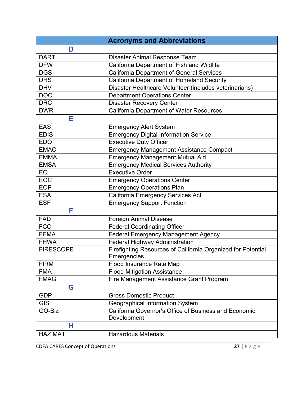|                  | <b>Acronyms and Abbreviations</b>                            |
|------------------|--------------------------------------------------------------|
| D                |                                                              |
| <b>DART</b>      | Disaster Animal Response Team                                |
| <b>DFW</b>       | California Department of Fish and Wildlife                   |
| <b>DGS</b>       | <b>California Department of General Services</b>             |
| <b>DHS</b>       | <b>California Department of Homeland Security</b>            |
| <b>DHV</b>       | Disaster Healthcare Volunteer (includes veterinarians)       |
| <b>DOC</b>       | <b>Department Operations Center</b>                          |
| <b>DRC</b>       | <b>Disaster Recovery Center</b>                              |
| <b>DWR</b>       | <b>California Department of Water Resources</b>              |
| Е                |                                                              |
| <b>EAS</b>       | <b>Emergency Alert System</b>                                |
| <b>EDIS</b>      | <b>Emergency Digital Information Service</b>                 |
| <b>EDO</b>       | <b>Executive Duty Officer</b>                                |
| <b>EMAC</b>      | <b>Emergency Management Assistance Compact</b>               |
| <b>EMMA</b>      | <b>Emergency Management Mutual Aid</b>                       |
| <b>EMSA</b>      | <b>Emergency Medical Services Authority</b>                  |
| EO               | <b>Executive Order</b>                                       |
| <b>EOC</b>       | <b>Emergency Operations Center</b>                           |
| <b>EOP</b>       | <b>Emergency Operations Plan</b>                             |
| <b>ESA</b>       | California Emergency Services Act                            |
| <b>ESF</b>       | <b>Emergency Support Function</b>                            |
| F                |                                                              |
| <b>FAD</b>       | <b>Foreign Animal Disease</b>                                |
| <b>FCO</b>       | <b>Federal Coordinating Officer</b>                          |
| <b>FEMA</b>      | <b>Federal Emergency Management Agency</b>                   |
| <b>FHWA</b>      | <b>Federal Highway Administration</b>                        |
| <b>FIRESCOPE</b> | Firefighting Resources of California Organized for Potential |
|                  | Emergencies                                                  |
| <b>FIRM</b>      | Flood Insurance Rate Map                                     |
| <b>FMA</b>       | <b>Flood Mitigation Assistance</b>                           |
| <b>FMAG</b>      | Fire Management Assistance Grant Program                     |
| G                |                                                              |
| <b>GDP</b>       | <b>Gross Domestic Product</b>                                |
| <b>GIS</b>       | Geographical Information System                              |
| GO-Biz           | California Governor's Office of Business and Economic        |
|                  | Development                                                  |
| н                |                                                              |
| <b>HAZ MAT</b>   | <b>Hazardous Materials</b>                                   |

**CDFA CARES Concept of Operations 27 |**  $\Box$  **27 |**  $\Box$  **27 |**  $\Box$  **27 |**  $\Box$  **27 |**  $\Box$  **27 |**  $\Box$  **27 |**  $\Box$  **27 |**  $\Box$  **27 |**  $\Box$  **27 |**  $\Box$  **27 |**  $\Box$  **27 |**  $\Box$  **27 |**  $\Box$  **27**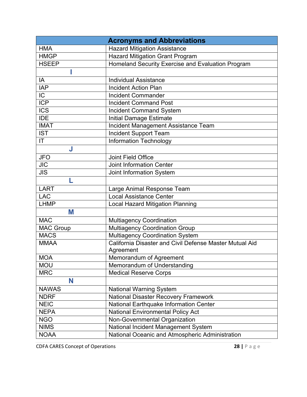|                  | <b>Acronyms and Abbreviations</b>                       |
|------------------|---------------------------------------------------------|
| <b>HMA</b>       | <b>Hazard Mitigation Assistance</b>                     |
| <b>HMGP</b>      | <b>Hazard Mitigation Grant Program</b>                  |
| <b>HSEEP</b>     | Homeland Security Exercise and Evaluation Program       |
|                  |                                                         |
| IA               | <b>Individual Assistance</b>                            |
| <b>IAP</b>       | <b>Incident Action Plan</b>                             |
| $\overline{C}$   | <b>Incident Commander</b>                               |
| <b>ICP</b>       | <b>Incident Command Post</b>                            |
| <b>ICS</b>       | <b>Incident Command System</b>                          |
| <b>IDE</b>       | <b>Initial Damage Estimate</b>                          |
| <b>IMAT</b>      | Incident Management Assistance Team                     |
| <b>IST</b>       | <b>Incident Support Team</b>                            |
| IT               | <b>Information Technology</b>                           |
| J                |                                                         |
| <b>JFO</b>       | <b>Joint Field Office</b>                               |
| <b>JIC</b>       | <b>Joint Information Center</b>                         |
| <b>JIS</b>       | Joint Information System                                |
| L                |                                                         |
| <b>LART</b>      | Large Animal Response Team                              |
| <b>LAC</b>       | <b>Local Assistance Center</b>                          |
| <b>LHMP</b>      | <b>Local Hazard Mitigation Planning</b>                 |
| M                |                                                         |
| <b>MAC</b>       | <b>Multiagency Coordination</b>                         |
| <b>MAC Group</b> | <b>Multiagency Coordination Group</b>                   |
| <b>MACS</b>      | <b>Multiagency Coordination System</b>                  |
| <b>MMAA</b>      | California Disaster and Civil Defense Master Mutual Aid |
|                  | Agreement                                               |
| <b>MOA</b>       | Memorandum of Agreement                                 |
| <b>MOU</b>       | Memorandum of Understanding                             |
| <b>MRC</b>       | <b>Medical Reserve Corps</b>                            |
| N                |                                                         |
| <b>NAWAS</b>     | <b>National Warning System</b>                          |
| <b>NDRF</b>      | <b>National Disaster Recovery Framework</b>             |
| <b>NEIC</b>      | National Earthquake Information Center                  |
| <b>NEPA</b>      | <b>National Environmental Policy Act</b>                |
| <b>NGO</b>       | Non-Governmental Organization                           |
| <b>NIMS</b>      | National Incident Management System                     |
| <b>NOAA</b>      | National Oceanic and Atmospheric Administration         |

**CDFA CARES Concept of Operations 28 |**  $\Box$  **28 |**  $\Box$  **28 |**  $\Box$  **28 |**  $\Box$  **28 |**  $\Box$  **28 |**  $\Box$  **28 |**  $\Box$  **28 |**  $\Box$  **28 |**  $\Box$  **28 |**  $\Box$  **28 |**  $\Box$  **28 |**  $\Box$  **28 |**  $\Box$  **28**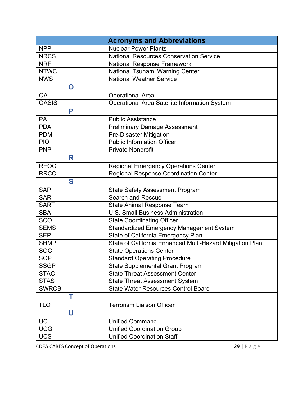|              | <b>Acronyms and Abbreviations</b>                         |
|--------------|-----------------------------------------------------------|
| <b>NPP</b>   | <b>Nuclear Power Plants</b>                               |
| <b>NRCS</b>  | <b>National Resources Conservation Service</b>            |
| <b>NRF</b>   | <b>National Response Framework</b>                        |
| <b>NTWC</b>  | National Tsunami Warning Center                           |
| <b>NWS</b>   | <b>National Weather Service</b>                           |
| $\mathbf O$  |                                                           |
| <b>OA</b>    | <b>Operational Area</b>                                   |
| <b>OASIS</b> | <b>Operational Area Satellite Information System</b>      |
| P            |                                                           |
| PA           | <b>Public Assistance</b>                                  |
| <b>PDA</b>   | <b>Preliminary Damage Assessment</b>                      |
| <b>PDM</b>   | <b>Pre-Disaster Mitigation</b>                            |
| <b>PIO</b>   | <b>Public Information Officer</b>                         |
| <b>PNP</b>   | Private Nonprofit                                         |
| R            |                                                           |
| <b>REOC</b>  | <b>Regional Emergency Operations Center</b>               |
| <b>RRCC</b>  | <b>Regional Response Coordination Center</b>              |
| S            |                                                           |
| <b>SAP</b>   | <b>State Safety Assessment Program</b>                    |
| <b>SAR</b>   | <b>Search and Rescue</b>                                  |
| <b>SART</b>  | <b>State Animal Response Team</b>                         |
| <b>SBA</b>   | <b>U.S. Small Business Administration</b>                 |
| <b>SCO</b>   | <b>State Coordinating Officer</b>                         |
| <b>SEMS</b>  | <b>Standardized Emergency Management System</b>           |
| <b>SEP</b>   | State of California Emergency Plan                        |
| <b>SHMP</b>  | State of California Enhanced Multi-Hazard Mitigation Plan |
| <b>SOC</b>   | <b>State Operations Center</b>                            |
| <b>SOP</b>   | <b>Standard Operating Procedure</b>                       |
| <b>SSGP</b>  | <b>State Supplemental Grant Program</b>                   |
| <b>STAC</b>  | <b>State Threat Assessment Center</b>                     |
| <b>STAS</b>  | <b>State Threat Assessment System</b>                     |
| <b>SWRCB</b> | <b>State Water Resources Control Board</b>                |
| Т            |                                                           |
| <b>TLO</b>   | <b>Terrorism Liaison Officer</b>                          |
| U            |                                                           |
| UC           | <b>Unified Command</b>                                    |
| <b>UCG</b>   | <b>Unified Coordination Group</b>                         |
| <b>UCS</b>   | <b>Unified Coordination Staff</b>                         |

**CDFA CARES Concept of Operations 29 |**  $P$  a g e